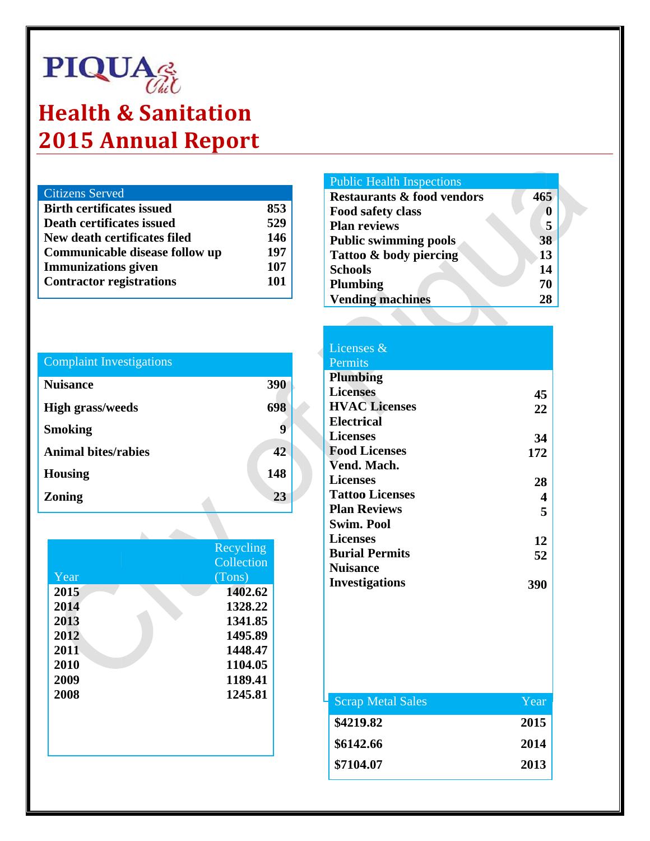# **PIQUA**

### **Health & Sanitation 2015 Annual Report**

| <b>Citizens Served</b>           |     |
|----------------------------------|-----|
| <b>Birth certificates issued</b> | 853 |
| Death certificates issued        | 529 |
| New death certificates filed     | 146 |
| Communicable disease follow up   | 197 |
| <b>Immunizations</b> given       | 107 |
| <b>Contractor registrations</b>  | 101 |
|                                  |     |

### **Complaint Investigations**

| <b>Nuisance</b>            | 390 |
|----------------------------|-----|
| <b>High grass/weeds</b>    | 698 |
| <b>Smoking</b>             |     |
| <b>Animal bites/rabies</b> | 42  |
| <b>Housing</b>             | 148 |
| <b>Zoning</b>              | 23  |

|      | Recycling  |
|------|------------|
|      | Collection |
| Year | (Tons)     |
| 2015 | 1402.62    |
| 2014 | 1328.22    |
| 2013 | 1341.85    |
| 2012 | 1495.89    |
| 2011 | 1448.47    |
| 2010 | 1104.05    |
| 2009 | 1189.41    |
| 2008 | 1245.81    |
|      |            |
|      |            |
|      |            |
|      |            |

#### **Public Health Inspections**

| <b>Restaurants &amp; food vendors</b> | 465 |
|---------------------------------------|-----|
| Food safety class                     |     |
| <b>Plan reviews</b>                   | 5   |
| <b>Public swimming pools</b>          | 38  |
| Tattoo & body piercing                | 13  |
| <b>Schools</b>                        | 14  |
| <b>Plumbing</b>                       | 70  |
| <b>Vending machines</b>               | 28  |

#### Licenses & Permits **Plumbing Licenses** 45 **HVAC Licenses** 22 **Electrical Licenses** 34 **Food Licenses** 172 Vend. Mach. **Licenses** 28 **Tattoo Licenses**  $\overline{\mathbf{4}}$ **Plan Reviews** 5 **Swim. Pool Licenses** 12 **Burial Permits** 52 **Nuisance Investigations** 390

| <b>Scrap Metal Sales</b> | Year |
|--------------------------|------|
| \$4219.82                | 2015 |
| \$6142.66                | 2014 |
| \$7104.07                | 2013 |